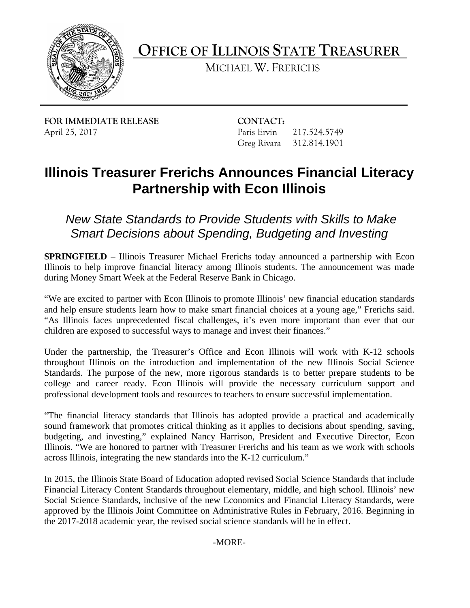

**OFFICE OF ILLINOIS STATE TREASURER** 

MICHAEL W. FRERICHS

**FOR IMMEDIATE RELEASE CONTACT:** April 25, 2017 **Paris Ervin** 217.524.5749

Greg Rivara 312.814.1901

## **Illinois Treasurer Frerichs Announces Financial Literacy Partnership with Econ Illinois**

*New State Standards to Provide Students with Skills to Make Smart Decisions about Spending, Budgeting and Investing* 

**SPRINGFIELD** – Illinois Treasurer Michael Frerichs today announced a partnership with Econ Illinois to help improve financial literacy among Illinois students. The announcement was made during Money Smart Week at the Federal Reserve Bank in Chicago.

 and help ensure students learn how to make smart financial choices at a young age," Frerichs said. "We are excited to partner with Econ Illinois to promote Illinois' new financial education standards "As Illinois faces unprecedented fiscal challenges, it's even more important than ever that our children are exposed to successful ways to manage and invest their finances."

 Standards. The purpose of the new, more rigorous standards is to better prepare students to be college and career ready. Econ Illinois will provide the necessary curriculum support and Under the partnership, the Treasurer's Office and Econ Illinois will work with K-12 schools throughout Illinois on the introduction and implementation of the new Illinois Social Science professional development tools and resources to teachers to ensure successful implementation.

 "The financial literacy standards that Illinois has adopted provide a practical and academically across Illinois, integrating the new standards into the K-12 curriculum." sound framework that promotes critical thinking as it applies to decisions about spending, saving, budgeting, and investing," explained Nancy Harrison, President and Executive Director, Econ Illinois. "We are honored to partner with Treasurer Frerichs and his team as we work with schools

 In 2015, the Illinois State Board of Education adopted revised Social Science Standards that include Social Science Standards, inclusive of the new Economics and Financial Literacy Standards, were the 2017-2018 academic year, the revised social science standards will be in effect. Financial Literacy Content Standards throughout elementary, middle, and high school. Illinois' new approved by the Illinois Joint Committee on Administrative Rules in February, 2016. Beginning in

-MORE